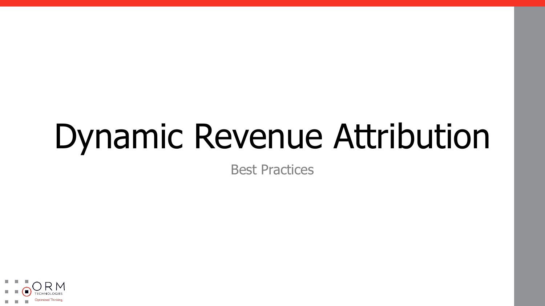# Dynamic Revenue Attribution

Best Practices

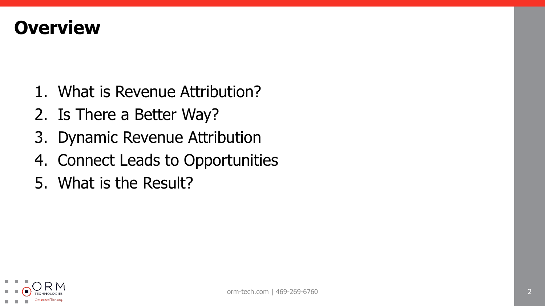#### **Overview**

- 1. What is Revenue Attribution?
- 2. Is There a Better Way?
- 3. Dynamic Revenue Attribution
- 4. Connect Leads to Opportunities
- 5. What is the Result?

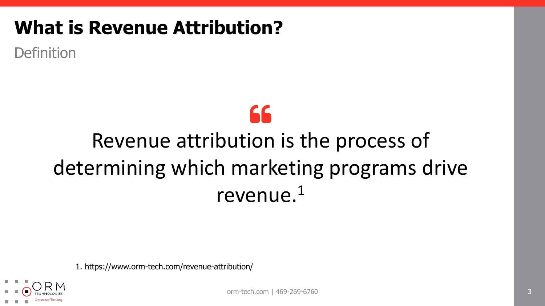Definition

## 66

## Revenue attribution is the process of determining which marketing programs drive revenue.1

1. https://www.orm-tech.com/revenue-attribution/



orm-tech.com | 469-269-6760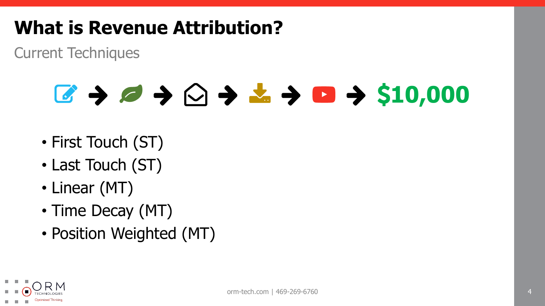Current Techniques

## **10,000**  $\rightarrow$  0  $\rightarrow$  0  $\rightarrow$  510,000

- First Touch (ST)
- Last Touch (ST)
- Linear (MT)
- Time Decay (MT)
- Position Weighted (MT)

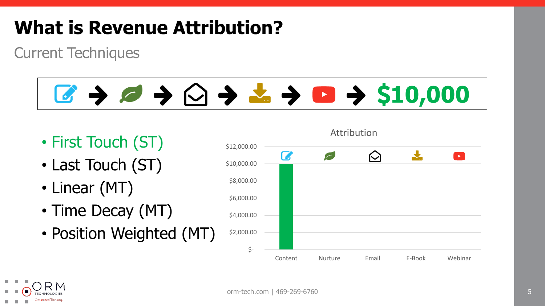Current Techniques

# C + O + O + L + O + \$10,000

- First Touch (ST)
- Last Touch (ST)
- Linear (MT)
- Time Decay (MT)
- Position Weighted (MT)



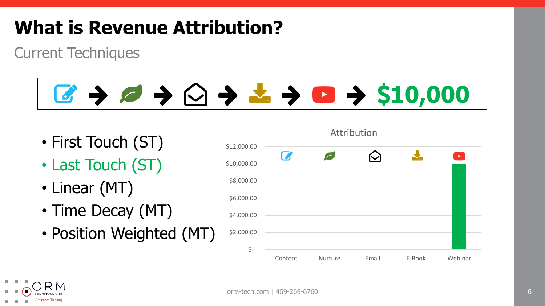Current Techniques

# **10,000** → △ → △ → △ → △ → \$10,000

- First Touch (ST)
- Last Touch (ST)
- Linear (MT)
- Time Decay (MT)
- Position Weighted (MT)

| \$12,000.00 |         |          |       |        |                       |
|-------------|---------|----------|-------|--------|-----------------------|
| \$10,000.00 | B       | $\left($ | M     |        | $\blacktriangleright$ |
| \$8,000.00  |         |          |       |        |                       |
| \$6,000.00  |         |          |       |        |                       |
| \$4,000.00  |         |          |       |        |                       |
| \$2,000.00  |         |          |       |        |                       |
| \$-         |         |          |       |        |                       |
|             | Content | Nurture  | Email | E-Book | Webinar               |

Attribution

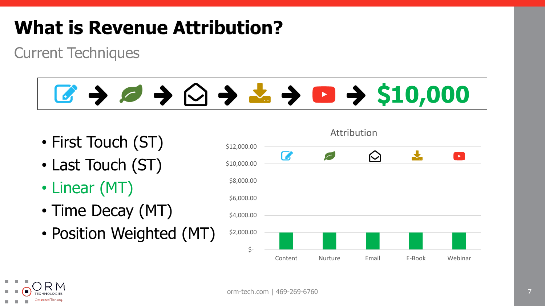Current Techniques

# C + C + C + L + D + \$10,000

- First Touch (ST)
- Last Touch (ST)
- Linear (MT)
- Time Decay (MT)
- Position Weighted (MT)



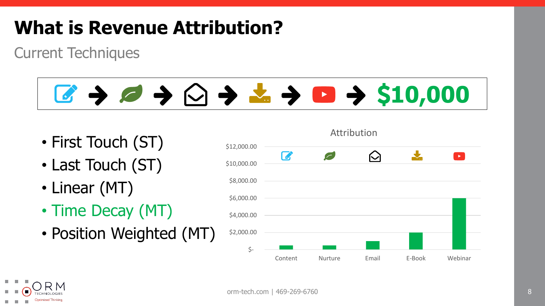Current Techniques

# C + C + C + L + D + \$10,000

- First Touch (ST)
- Last Touch (ST)
- Linear (MT)
- Time Decay (MT)
- Position Weighted (MT)



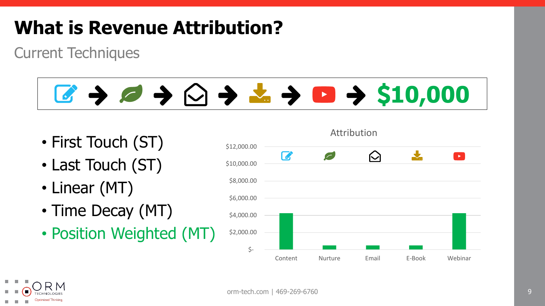Current Techniques

# C + C + C + L + D + \$10,000

- First Touch (ST)
- Last Touch (ST)
- Linear (MT)
- Time Decay (MT)
- Position Weighted (MT)



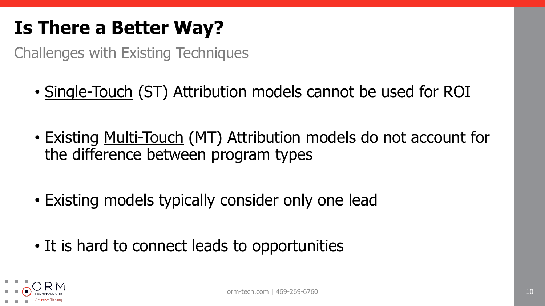#### **Is There a Better Way?**

Challenges with Existing Techniques

- Single-Touch (ST) Attribution models cannot be used for ROI
- Existing Multi-Touch (MT) Attribution models do not account for the difference between program types
- Existing models typically consider only one lead
- It is hard to connect leads to opportunities

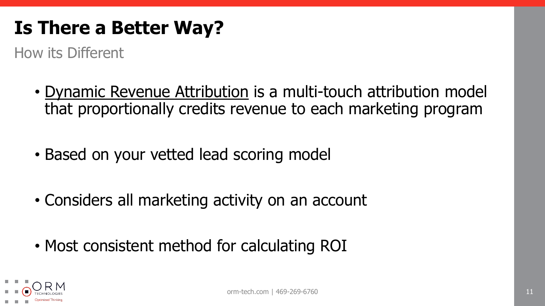#### **Is There a Better Way?**

How its Different

- Dynamic Revenue Attribution is a multi-touch attribution model that proportionally credits revenue to each marketing program
- Based on your vetted lead scoring model
- Considers all marketing activity on an account
- Most consistent method for calculating ROI

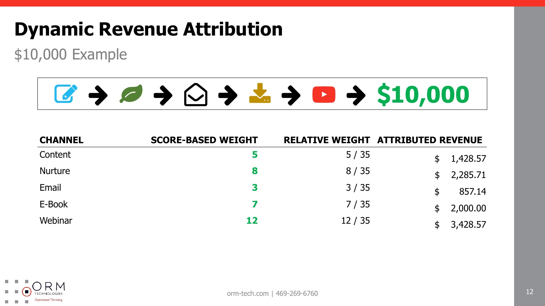#### **Dynamic Revenue Attribution**

\$10,000 Example

## **10,000** → 10,000 → 10,000

| <b>CHANNEL</b> | <b>SCORE-BASED WEIGHT</b> |       | <b>RELATIVE WEIGHT ATTRIBUTED REVENUE</b> |
|----------------|---------------------------|-------|-------------------------------------------|
| Content        | 5.                        | 5/35  | 1,428.57                                  |
| <b>Nurture</b> | 8                         | 8/35  | 2,285.71<br>$\mathfrak{L}$                |
| Email          | 3                         | 3/35  | 857.14<br>\$                              |
| E-Book         | 7                         | 7/35  | 2,000.00                                  |
| Webinar        | 12                        | 12/35 | 3,428.57                                  |

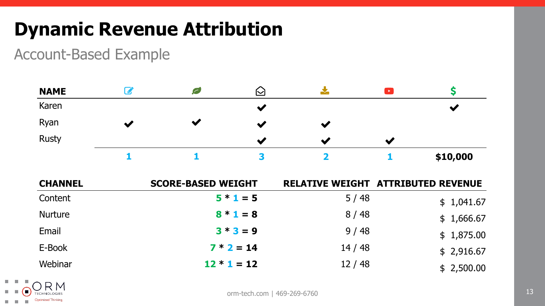#### **Dynamic Revenue Attribution**

Account-Based Example

| <b>NAME</b>    | $\boldsymbol{\mathcal{C}}$ | Ø                         | $\bigcirc$           |                         | $\blacksquare$       | \$                                        |
|----------------|----------------------------|---------------------------|----------------------|-------------------------|----------------------|-------------------------------------------|
| Karen          |                            |                           | $\blacktriangledown$ |                         |                      | $\blacktriangledown$                      |
| Ryan           | $\blacktriangledown$       | $\blacktriangledown$      | $\blacktriangledown$ | $\blacktriangledown$    |                      |                                           |
| <b>Rusty</b>   |                            |                           | $\blacktriangledown$ | $\blacktriangledown$    | $\blacktriangledown$ |                                           |
|                | 1                          | 1                         | 3                    | $\overline{\mathbf{2}}$ | 1                    | \$10,000                                  |
| <b>CHANNEL</b> |                            | <b>SCORE-BASED WEIGHT</b> |                      |                         |                      | <b>RELATIVE WEIGHT ATTRIBUTED REVENUE</b> |
| Content        |                            |                           | $5 * 1 = 5$          |                         | 5/48                 | \$1,041.67                                |
| <b>Nurture</b> |                            |                           | $8 * 1 = 8$          |                         | 8/48                 | \$1,666.67                                |
| Email          |                            |                           | $3 * 3 = 9$          |                         | 9/48                 | \$1,875.00                                |
| E-Book         |                            |                           | $7 * 2 = 14$         |                         | 14/48                | \$2,916.67                                |
| Webinar        |                            |                           | $12 * 1 = 12$        |                         | 12/48                | \$2,500.00                                |

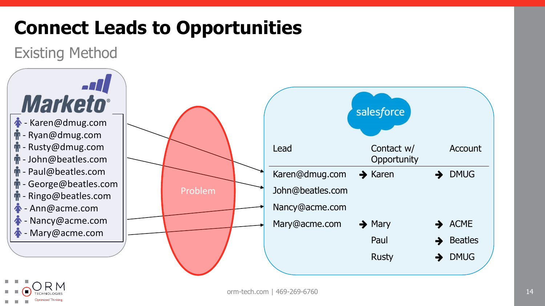## **Connect Leads to Opportunities**

Existing Method



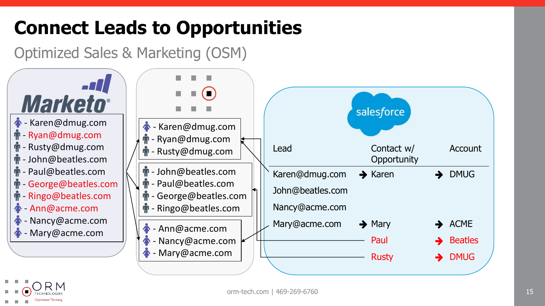## **Connect Leads to Opportunities**

Optimized Sales & Marketing (OSM)



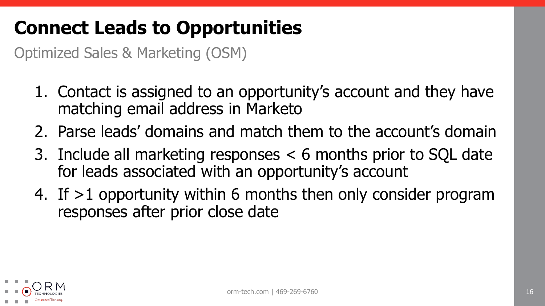#### **Connect Leads to Opportunities**

Optimized Sales & Marketing (OSM)

- 1. Contact is assigned to an opportunity's account and they have matching email address in Marketo
- 2. Parse leads' domains and match them to the account's domain
- 3. Include all marketing responses < 6 months prior to SQL date for leads associated with an opportunity's account
- 4. If >1 opportunity within 6 months then only consider program responses after prior close date

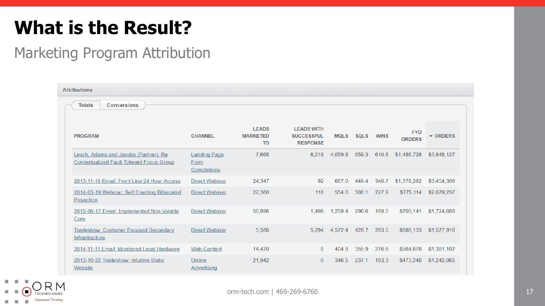#### **What is the Result?**

#### Marketing Program Attribution

| <b>Attributions</b>                                                                       |                                            |                                              |                                                           |             |             |             |                             |                    |
|-------------------------------------------------------------------------------------------|--------------------------------------------|----------------------------------------------|-----------------------------------------------------------|-------------|-------------|-------------|-----------------------------|--------------------|
| <b>Totals</b><br><b>Conversions</b>                                                       |                                            |                                              |                                                           |             |             |             |                             |                    |
|                                                                                           |                                            |                                              |                                                           |             |             |             |                             |                    |
| <b>PROGRAM</b>                                                                            | <b>CHANNEL</b>                             | <b>LEADS</b><br><b>MARKETED</b><br><b>TO</b> | <b>LEADS WITH</b><br><b>SUCCESSFUL</b><br><b>RESPONSE</b> | <b>MQLS</b> | <b>SQLS</b> | <b>WINS</b> | <b>FYO</b><br><b>ORDERS</b> | $\sqrt{\ }$ ORDERS |
| Lesch, Adams and Jacobs (Partner): Re<br><b>Contextualized Fault Tolerant Focus Group</b> | <b>Landing Page</b><br>Form<br>Completions | 7.668                                        | 6.219                                                     | 4,059.9     | 859.3       | 610.8       | \$1,486,728                 | \$3,948,127        |
| 2013-11-19 Email: Front Line 24 Hour Access                                               | <b>Direct Webinar</b>                      | 24,347                                       | 92                                                        | 667.0       | 449.4       | 340.7       | \$1,378,282                 | \$3,454,308        |
| 2014-03-19 Webinar: Self Enabling Bifurcated<br>Projection                                | <b>Direct Webinar</b>                      | 22,360                                       | 116                                                       | 554.0       | 300.1       | 227.9       | \$775,114                   | \$2,079,237        |
| 2015-06-17 Event: Implemented Non Volatile<br>Core                                        | <b>Direct Webinar</b>                      | 56,896                                       | 1.498                                                     | 1,259.4     | 298.6       | 189.5       | \$700,141                   | \$1,724,688        |
| <b>Tradeshow: Customer Focused Secondary</b><br>Infrastructure                            | <b>Direct Webinar</b>                      | 5,586                                        | 5,294                                                     | 4,572.4     | 429.7       | 283.5       | \$686,133                   | \$1,577,916        |
| 2014-11-11 Email: Monitored Local Hardware                                                | <b>Web Content</b>                         | 14,420                                       | 0                                                         | 404.8       | 355.9       | 276.6       | \$564,678                   | \$1,381,102        |
| 2013-10-22 Tradeshow: Intuitive Static<br>Website                                         | Online<br>Advertising                      | 21,942                                       | $\Omega$                                                  | 346.5       | 237.1       | 183.3       | \$473,240                   | \$1,242,065        |

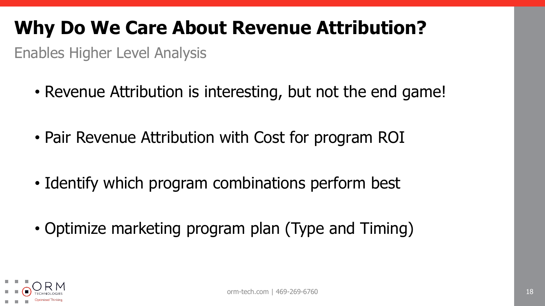#### **Why Do We Care About Revenue Attribution?**

Enables Higher Level Analysis

- Revenue Attribution is interesting, but not the end game!
- Pair Revenue Attribution with Cost for program ROI
- Identify which program combinations perform best
- Optimize marketing program plan (Type and Timing)

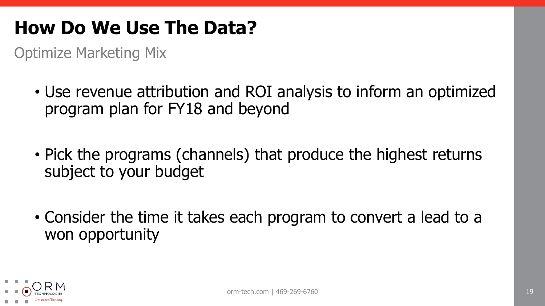#### **How Do We Use The Data?**

Optimize Marketing Mix

- Use revenue attribution and ROI analysis to inform an optimized program plan for FY18 and beyond
- Pick the programs (channels) that produce the highest returns subject to your budget
- Consider the time it takes each program to convert a lead to a won opportunity

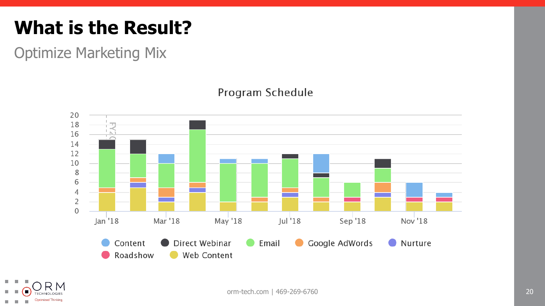#### **What is the Result?**

Optimize Marketing Mix

#### 20 18 16 14 12 10  $\,8\,$ 6  $\overline{4}$  $\sqrt{2}$  $\mathbf 0$ May '18 Nov<sup>'18</sup>  $Jan'18$ Mar '18  $J$ ul  $18$ Sep '18 Direct Webinar Google AdWords Content Email **Nurture** Roadshow Web Content

#### Program Schedule



orm-tech.com | 469-269-6760 20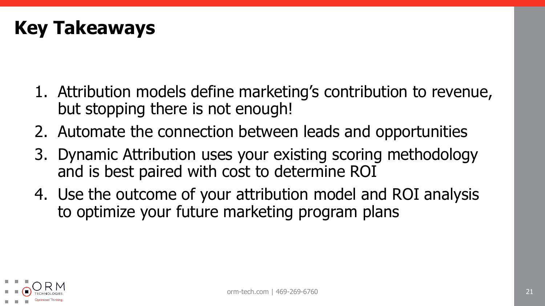

- 1. Attribution models define marketing's contribution to revenue, but stopping there is not enough!
- 2. Automate the connection between leads and opportunities
- 3. Dynamic Attribution uses your existing scoring methodology and is best paired with cost to determine ROI
- 4. Use the outcome of your attribution model and ROI analysis to optimize your future marketing program plans